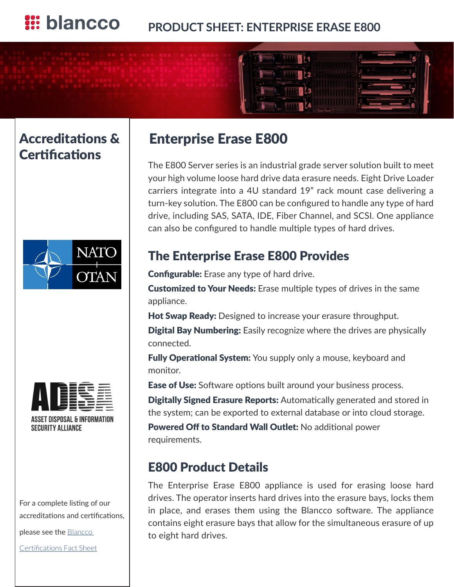

## Accreditations & **Certifications**





**ASSET DISPOSAL & INFORMATION SECURITY ALLIANCE** 

For a complete listing of our accreditations and certifications,

please see the **Blancco** 

[Certifications Fact Sheet](http://www.blancco.com/sites/default/files/product_sheets/certifications_fact_sheet_uk.pdf).

# Enterprise Erase E800

The E800 Server series is an industrial grade server solution built to meet your high volume loose hard drive data erasure needs. Eight Drive Loader carriers integrate into a 4U standard 19" rack mount case delivering a turn-key solution. The E800 can be configured to handle any type of hard drive, including SAS, SATA, IDE, Fiber Channel, and SCSI. One appliance can also be configured to handle multiple types of hard drives.

## The Enterprise Erase E800 Provides

**Configurable:** Erase any type of hard drive.

**Customized to Your Needs:** Erase multiple types of drives in the same appliance.

Hot Swap Ready: Designed to increase your erasure throughput.

**Digital Bay Numbering:** Easily recognize where the drives are physically connected.

**Fully Operational System:** You supply only a mouse, keyboard and monitor.

**Ease of Use:** Software options built around your business process.

**Digitally Signed Erasure Reports:** Automatically generated and stored in the system; can be exported to external database or into cloud storage.

Powered Off to Standard Wall Outlet: No additional power requirements.

## E800 Product Details

The Enterprise Erase E800 appliance is used for erasing loose hard drives. The operator inserts hard drives into the erasure bays, locks them in place, and erases them using the Blancco software. The appliance contains eight erasure bays that allow for the simultaneous erasure of up to eight hard drives.